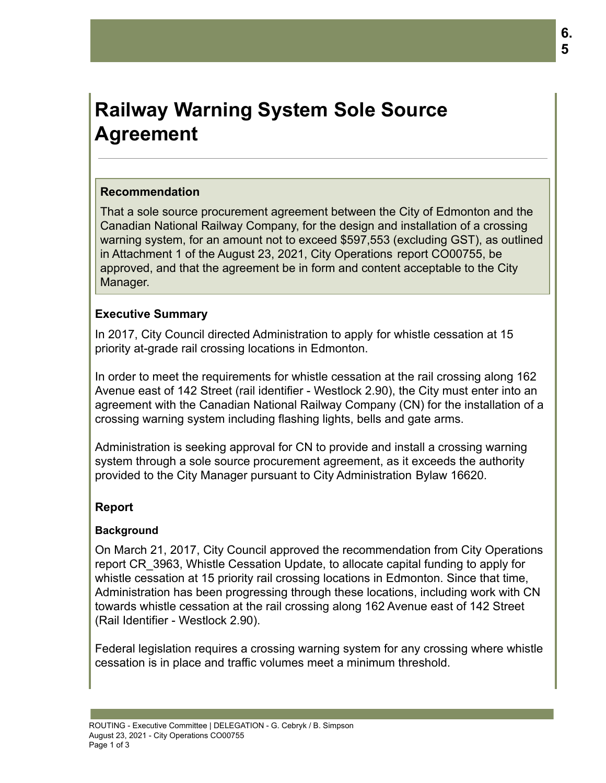# **Railway Warning System Sole Source Agreement**

# **Recommendation**

That a sole source procurement agreement between the City of Edmonton and the Canadian National Railway Company, for the design and installation of a crossing warning system, for an amount not to exceed \$597,553 (excluding GST), as outlined in Attachment 1 of the August 23, 2021, City Operations report CO00755, be approved, and that the agreement be in form and content acceptable to the City Manager.

# **Executive Summary**

In 2017, City Council directed Administration to apply for whistle cessation at 15 priority at-grade rail crossing locations in Edmonton.

In order to meet the requirements for whistle cessation at the rail crossing along 162 Avenue east of 142 Street (rail identifier - Westlock 2.90), the City must enter into an agreement with the Canadian National Railway Company (CN) for the installation of a crossing warning system including flashing lights, bells and gate arms.

Administration is seeking approval for CN to provide and install a crossing warning system through a sole source procurement agreement, as it exceeds the authority provided to the City Manager pursuant to City Administration Bylaw 16620.

# **Report**

# **Background**

On March 21, 2017, City Council approved the recommendation from City Operations report CR\_3963, Whistle Cessation Update, to allocate capital funding to apply for whistle cessation at 15 priority rail crossing locations in Edmonton. Since that time, Administration has been progressing through these locations, including work with CN towards whistle cessation at the rail crossing along 162 Avenue east of 142 Street (Rail Identifier - Westlock 2.90).

Federal legislation requires a crossing warning system for any crossing where whistle cessation is in place and traffic volumes meet a minimum threshold.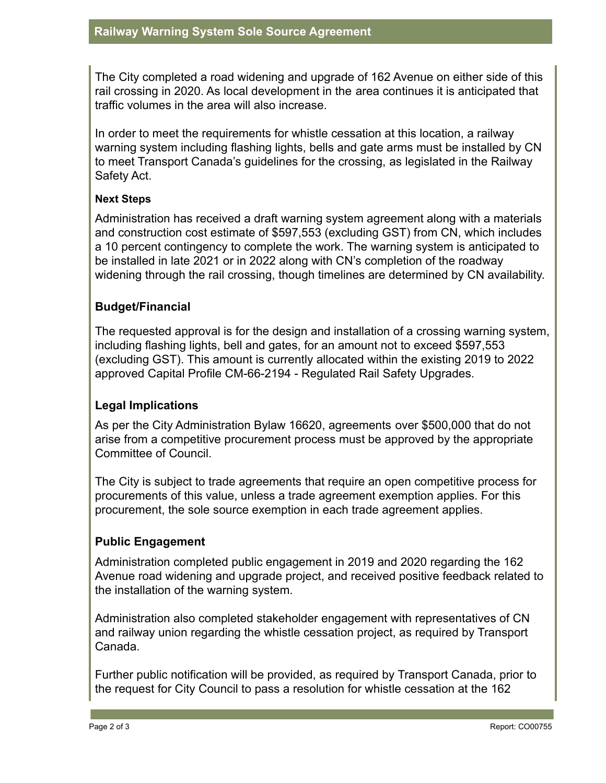The City completed a road widening and upgrade of 162 Avenue on either side of this rail crossing in 2020. As local development in the area continues it is anticipated that traffic volumes in the area will also increase.

In order to meet the requirements for whistle cessation at this location, a railway warning system including flashing lights, bells and gate arms must be installed by CN to meet Transport Canada's guidelines for the crossing, as legislated in the Railway Safety Act.

#### **Next Steps**

Administration has received a draft warning system agreement along with a materials and construction cost estimate of \$597,553 (excluding GST) from CN, which includes a 10 percent contingency to complete the work. The warning system is anticipated to be installed in late 2021 or in 2022 along with CN's completion of the roadway widening through the rail crossing, though timelines are determined by CN availability.

# **Budget/Financial**

The requested approval is for the design and installation of a crossing warning system, including flashing lights, bell and gates, for an amount not to exceed \$597,553 (excluding GST). This amount is currently allocated within the existing 2019 to 2022 approved Capital Profile CM-66-2194 - Regulated Rail Safety Upgrades.

# **Legal Implications**

As per the City Administration Bylaw 16620, agreements over \$500,000 that do not arise from a competitive procurement process must be approved by the appropriate Committee of Council.

The City is subject to trade agreements that require an open competitive process for procurements of this value, unless a trade agreement exemption applies. For this procurement, the sole source exemption in each trade agreement applies.

# **Public Engagement**

Administration completed public engagement in 2019 and 2020 regarding the 162 Avenue road widening and upgrade project, and received positive feedback related to the installation of the warning system.

Administration also completed stakeholder engagement with representatives of CN and railway union regarding the whistle cessation project, as required by Transport Canada.

Further public notification will be provided, as required by Transport Canada, prior to the request for City Council to pass a resolution for whistle cessation at the 162